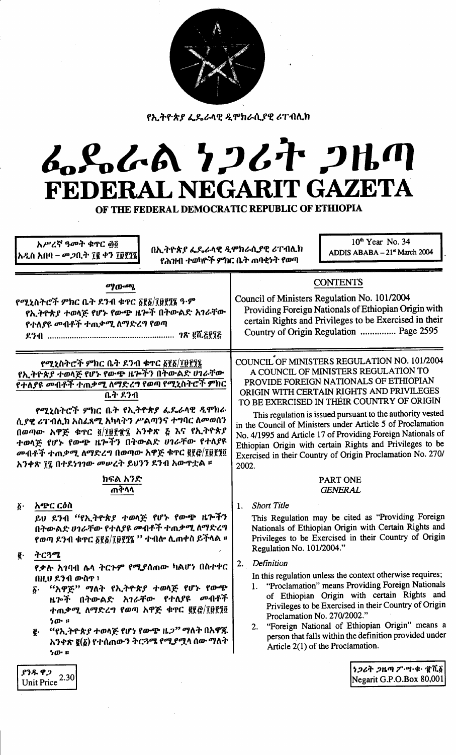

የኢትዮጵያ ፌዴራላዊ ዲሞክራሲያዊ ሪፐብሊክ

# んぺんへ とつびれ つルの FEDERAL NEGARIT GAZETA

OF THE FEDERAL DEMOCRATIC REPUBLIC OF ETHIOPIA

አሥረኛ ዓመት ቁጥር ፴፬ አዲስ አበባ – መ*ጋ*ቢት ፲፪ ቀን ፲፱፻፺፮

በኢትዮጵያ ፌጼራላዊ ዲሞክራሲያዊ ሪፐብሊክ የሕዝብ ተወካዮች ምክር ቤት ጠባቂነት የወጣ

10<sup>th</sup> Year No. 34 ADDIS ABABA - 21" March 2004

|                                                                                                                                                                                                                                                                                                                                                                              | ማውጫ<br>የሚኒስትሮች ምክር ቤት ደንብ ቁጥር ፩፻፩/፲፱፻፺፮ ዓ·ም<br>የኢትዮጵያ ተወላጅ የሆኑ የውጭ ዜጕች በትውልድ አገራቸው<br>የተለያዩ መብቶች ተጠቃሚ ለማድረግ የወጣ                                                                                                                                                                         |                                                                                                                                                                                                                                                                                                                                                                                                                                                                                                                                                           | <b>CONTENTS</b><br>Council of Ministers Regulation No. 101/2004<br>Providing Foreign Nationals of Ethiopian Origin with<br>certain Rights and Privileges to be Exercised in their<br>Country of Origin Regulation  Page 2595                                                                                                                                                                                                 |
|------------------------------------------------------------------------------------------------------------------------------------------------------------------------------------------------------------------------------------------------------------------------------------------------------------------------------------------------------------------------------|-----------------------------------------------------------------------------------------------------------------------------------------------------------------------------------------------------------------------------------------------------------------------------------------|-----------------------------------------------------------------------------------------------------------------------------------------------------------------------------------------------------------------------------------------------------------------------------------------------------------------------------------------------------------------------------------------------------------------------------------------------------------------------------------------------------------------------------------------------------------|------------------------------------------------------------------------------------------------------------------------------------------------------------------------------------------------------------------------------------------------------------------------------------------------------------------------------------------------------------------------------------------------------------------------------|
| የሚኒስትሮች ምክር ቤት ደንብ ቁጥር ፩፻፩/፲፱፻፺፯<br>የኢትዮጵያ ተወላጅ የሆኑ የውጭ ዜሎችን በትውልድ ሀገራቸው<br>የተለያዩ መብቶች ተጠቃሚ ለማድረግ የወጣ የሚኒስትሮች ምክር<br>ቤት ደንብ<br>የሚኒስትሮች ምክር ቤት የኢትዮጵያ ፌዴራላዊ ዲሞክራ<br>ሲያዊ ሪፐብሊክ አስፈጻሚ አካላትን ሥልጣንና ተግባር ለመወሰን<br>በወጣው አዋጅ ቁጥር ፬/፲፱፻፹፯ አንቀጽ ፭ እና የኢትዮጵያ<br>ተወላጅ የሆኑ የውጭ ዜጕችን በትውልድ ሀገራቸው የተለያዩ<br>መብቶች ተጠቃሚ ለማድረግ በወጣው አዋጅ ቁጥር ፪፻፸/፲፱፻፺፬<br>አንቀጽ ፲፯ በተደነገገው መሠረት ይህንን ደንብ አውዋቷል ። |                                                                                                                                                                                                                                                                                         | COUNCIL OF MINISTERS REGULATION NO. 101/2004<br>A COUNCIL OF MINISTERS REGULATION TO<br>PROVIDE FOREIGN NATIONALS OF ETHIOPIAN<br>ORIGIN WITH CERTAIN RIGHTS AND PRIVILEGES<br>TO BE EXERCISED IN THEIR COUNTRY OF ORIGIN<br>This regulation is issued pursuant to the authority vested<br>in the Council of Ministers under Article 5 of Proclamation<br>No. 4/1995 and Article 17 of Providing Foreign Nationals of<br>Ethiopian Origin with certain Rights and Privileges to be<br>Exercised in their Country of Origin Proclamation No. 270/<br>2002. |                                                                                                                                                                                                                                                                                                                                                                                                                              |
|                                                                                                                                                                                                                                                                                                                                                                              | ክፍል አንድ<br>ጠቅሳሳ                                                                                                                                                                                                                                                                         |                                                                                                                                                                                                                                                                                                                                                                                                                                                                                                                                                           | <b>PART ONE</b><br><b>GENERAL</b>                                                                                                                                                                                                                                                                                                                                                                                            |
| $\boldsymbol{\delta}$ .                                                                                                                                                                                                                                                                                                                                                      | አጭር ርዕስ<br>ይህ ደንብ ''የኢትዮጵያ ተወላጅ የሆኑ የውጭ ዜጕችን<br>በትውልድ ሀገራቸው የተለያዩ መብቶች ተጠቃሚ ለማድረግ<br>የወጣ ደንብ ቁጥር ፩፻፩/፲፱፻፺፮ '' ተብሎ ሲጠቀስ ይችላል ፡፡                                                                                                                                                          | 1.                                                                                                                                                                                                                                                                                                                                                                                                                                                                                                                                                        | <b>Short Title</b><br>This Regulation may be cited as "Providing Foreign<br>Nationals of Ethiopian Origin with Certain Rights and<br>Privileges to be Exercised in their Country of Origin<br>Regulation No. 101/2004."                                                                                                                                                                                                      |
| g.                                                                                                                                                                                                                                                                                                                                                                           | ትርጓሜ<br>የቃሉ አገባብ ሌላ ትርጉም የሚያሰጠው ካልሆነ በስተቀር<br>በዚህ ደንብ ውስጥ ፣<br>"አዋጅ" ማለት የኢትዮጵያ ተወላጅ የሆኑ የውጭ<br>δ.<br>ዜሎች በትውልድ አገራቸው የተለያዩ መብቶች<br>ተጠቃሚ ለማድረግ የወጣ አዋጅ ቁጥር ፪፻፸/፲፱፻፺፬<br>ነው ።<br>''የኢትዮጵ <i>ያ</i> ተወላጅ የሆነ የውጭ ዜ <i>ጋ''</i> ማለት በአዋጁ<br>g.<br>አንቀጽ ፪(፩) የተሰጠውን ትርጓሜ የሚያሟላ ሰው ማለት<br>ንው ። | 2.                                                                                                                                                                                                                                                                                                                                                                                                                                                                                                                                                        | Definition<br>In this regulation unless the context otherwise requires;<br>1. "Proclamation" means Providing Foreign Nationals<br>of Ethiopian Origin with certain Rights and<br>Privileges to be Exercised in their Country of Origin<br>Proclamation No. 270/2002."<br>"Foreign National of Ethiopian Origin" means a<br>2.<br>person that falls within the definition provided under<br>Article 2(1) of the Proclamation. |
|                                                                                                                                                                                                                                                                                                                                                                              | ያንዱ ዋጋ<br>2.30<br>Unit Price                                                                                                                                                                                                                                                            |                                                                                                                                                                                                                                                                                                                                                                                                                                                                                                                                                           | <i>ነጋሪት ጋዜጣ ፖ</i> …ሣ·ቁ· ፹ሺ፩<br>Negarit G.P.O.Box 80,001                                                                                                                                                                                                                                                                                                                                                                      |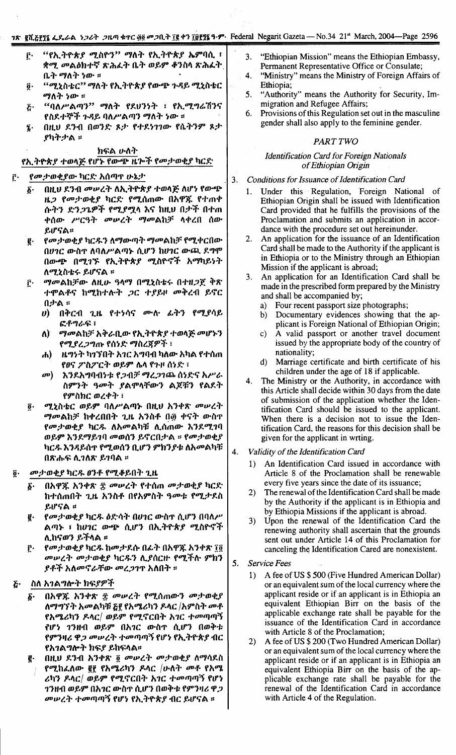# ገጽ gሺ፭fff ፌዴራል ነጋሪት ጋዜጣ ቁጥር ፴፬ መጋቢት ፲፱ ቀን ፲፱fff ዓ.ም Federal Negarit Gazeta — No.34 21st March, 2004—Page 2596

- "የኢትዮጵያ ሚስዮን" ማለት የኢትዮጵያ ኤምባሲ ፣ ŕ٠ ቋሚ መልዕክተኛ ጽሕፈት ቤት ወይም ቆንስሳ ጽሕፈት ቤት ማለት ነው ።
- "ሚኒስቴር'' ማለት የኢትዮጵያ የውጭ ጉዳይ ሚኒስቴር  $\overline{\mathbf{0}}$  . ማለት ነው ።
- "ባለሥልጣን" ማለት የደሀንነት ፣ የኢሚግሬሽንና  $\bar{c}$ የስደተኞች ጉዳይ ባለሥልጣን ማለት ነው ፡፡
- በዚህ ደንብ በወንድ ጾታ የተደነገገው የሴትንም ጾታ  $\mathbf{r}$ ያካትታል ።

ክፍል ሁለት

የኢትዮጵ*ያ ተወ*ላጅ የሆኑ የውጭ ዜሎች የመታወቂያ ካርድ

#### የመታወቂያው ካርድ አሰጣዋ ሁኔታ f.

- በዚህ ደንብ መሥረት ለኢትዮጵያ ተወላጅ ለሆነ የውጭ δ. ዜጋ የመታወቂያ ካርድ የሚሰጠው በአዋጁ የተጠቀ ሱትን ድን*ጋጌዎች የሚያሟ*ላ እና ከዚህ በታች በተጠ ቀሰው ሥርዓት መሠረት ማመልከቻ ላቀረበ ሰው ይሆናል።
- የመታወቂያ ካርዱን ለማውጣት ማመልከቻ የሚቀርበው g. በሀገር ውስጥ ለባለሥልጣኑ ሲሆን ከሀገር ውጪ ደግሞ በውጭ በሚገኙ የኢትዮጵያ ሚስዮኖች አማካይነት ለሚኒስቴሩ ይሆናል ፡፡
- ማመልከቻው ለዚሁ ዓላማ በሚኒስቴሩ በተዘጋጀ ቅጽ  $\mathbf{r}$ ተሞልቶና ከሚከተሉት ጋር ተያይዞ መቅረብ ይኖር በታል ።
	- በቅርብ ጊዜ የተነሳና ሙሉ ፊትን የሚያሳይ  $\boldsymbol{\theta}$ ፎቶግራፍ ፣
	- ማመልከቻ አቅራቢው የኢትዮጵያ ተወላጅ መሆኑን  $\mathbf{v}$ የሚያረ*ጋግ*ጡ የሰነድ ማስረጀዎች ፣
	- , ዜግንት ካንኘበት አገር አግባብ ካለው አካል የተሰጠ  $\mathbf{d}$ የፀና ፖስፖርት ወይም ሴላ የጉዞ ሰነድ ፣
	- $\sigma$ <sup> $)$ </sup> እንደአግባብነቱ የጋብቻ ማረጋገጨ ሰነድና አሥራ ስምንት ዓመት ያልሞላቸውን ልጆቹን የልደት የምስክር ወረቀት ፣
- ሚኒስቴር ወይም ባለሥልጣኑ በዚህ አንቀጽ መሠረት  $\overline{\mathbf{0}}$  . *ማመ*ልከቻ ከቀረበበት ጊዜ አንስቶ በ፴ ቀናት ውስኖ የመታወቂያ ካርዱ ለአመልካቹ ሊሰጠው እንደሚገባ ወይም እንደማይገባ መወሰን ይኖርበታል ፡፡ የመታወቂያ ካርዱ እንዳይሰጥ የሚወሰን ቢሆን ምክንያቱ ለአመልካቹ በጽሑፍ ሊገለጽ ይገባል ፡፡

#### *መታወቂያ* ካር*ዱ ፀንቶ የሚቆ*ይበት ጊዜ  $\ddot{\bm{\theta}}$ .

- በአዋጁ አንቀጽ ፰ መሠረት የተሰጠ መታወቂያ ካርድ  $\delta$ . ከተሰጠበት ጊዜ አንስቶ በየአምስት ዓመቱ የሚታደስ ይሆናል ።
- የመታወቂያ ካርዱ ዕድሳት በሀገር ውስዋ ሲሆን በባለሥ  $\mathbf{g}$ . ልጣኑ ፣ ከሀገር ውጭ ሲሆን በኢትዮጵያ ሚስዮኖች ሊከናወን ይችላል ፡፡
- የመታወቂያ ካርዱ ከመታደሱ በፊት በአዋጁ አንቀጽ ፲፬  $\mathbf{r}$ መሠረት መታወቂያ ካርዱን ሊያሰርዙ የሚችሉ ምክን ያቶች አለመኖራቸው መረ*ጋገ*ዋ አለበት ፡፡

#### ስለ አ*ገ*ልግሎት ክፍያዎች  $\boldsymbol{\tilde{c}}$

- በአዋጁ አንቀጽ ፰ መሠረት የሚሰጠውን መታወቂያ  $\boldsymbol{\delta}$ . ለማግኘት አመልካቹ <u>δ፪</u> የአሜሪካን ዶላር /አምስት መቶ የአሜሪካን ዶላር/ ወይም የሚኖርበት አገር ተመጣጣኝ የሆነ ገንዘብ ወይም በአገር ውስጥ ሲሆን በወቅቱ የምንዛሪ ዋ*ጋ መሠረት ተመ*ጣጣኝ የሆነ የኢ*ት*ዮጵያ ብር የአ*ገ*ል*ግ*ሎት ክፍያ ይከፍላል፡፡
- በዚህ ደንብ አንቀጽ ፬ መሠረት መታወቂያ ለማሳደስ g. የሚከፈለው ፪፻ የአሜሪካን ዶላር /ሁለት መቶ የአሜ ሪካን ዶላር/ ወይም የሚኖርበት አገር ተመጣጣኝ የሆነ **ገንዘብ ወይም በአገር ውስ**ጥ ሲሆን በወቅቱ የምንዛሪ ዋ*ጋ* መሠረት ተመጣጣኝ የሆነ የኢትዮጵያ ብር ይሆናል ።
- "Ethiopian Mission" means the Ethiopian Embassy,  $\mathbf{3}$ Permanent Representative Office or Consulate;
- "Ministry" means the Ministry of Foreign Affairs of  $\overline{\mathbf{A}}$ Ethiopia:
- "Authority" means the Authority for Security, Im- $5<sub>1</sub>$ migration and Refugee Affairs;
- Provisions of this Regulation set out in the masculine 6. gender shall also apply to the feminine gender.

#### **PART TWO**

## **Identification Card for Foreign Nationals** of Ethiopian Origin

- $3.$ Conditions for Issuance of Identification Card
	- Under this Regulation, Foreign National of 1. Ethiopian Origin shall be issued with Identification Card provided that he fulfills the provisions of the Proclamation and submits an application in accordance with the procedure set out hereinunder.
	- $2.$ An application for the issuance of an Identification Card shall be made to the Authority if the applicant is in Ethiopia or to the Ministry through an Ethiopian Mission if the applicant is abroad:
	- An application for an Identification Card shall be made in the prescribed form prepared by the Ministry and shall be accompanied by;
		- Four recent passport size photographs;  $a)$
		- Documentary evidences showing that the ap $b)$ plicant is Foreign National of Ethiopian Origin;
		- A valid passport or another travel document  $\mathbf{c}$ ) issued by the appropriate body of the country of nationality;
		- Marriage certificate and birth certificate of his  $\mathbf{d}$ children under the age of 18 if applicable.
	- The Ministry or the Authority, in accordance with  $4<sub>1</sub>$ this Article shall decide within 30 days from the date of submission of the application whether the Identification Card should be issued to the applicant. When there is a decision not to issue the Identification Card, the reasons for this decision shall be given for the applicant in wrting.
- Validity of the Identification Card  $\mathbf{A}$ 
	- An Identification Card issued in accordance with  $\mathbf{1}$ Article 8 of the Proclamation shall be renewable every five years since the date of its issuance;
	- $2)$ The renewal of the Identification Card shall be made by the Authority if the applicant is in Ethiopia and by Ethiopia Missions if the applicant is abroad.
	- $3)$ Upon the renewal of the Identification Card the renewing authority shall ascertain that the grounds sent out under Article 14 of this Proclamation for canceling the Identification Cared are nonexistent.
- 5. Service Fees
	- A fee of US \$500 (Five Hundred American Dollar)  $1)$ or an equivalent sum of the local currency where the applicant reside or if an applicant is in Ethiopia an equivalent Ethiopian Birr on the basis of the applicable exchange rate shall be payable for the issuance of the Identification Card in accordance with Article 8 of the Proclamation;
	- $(2)$ A fee of US \$200 (Two Hundred American Dollar) or an equivalent sum of the local currency where the applicant reside or if an applicant is in Ethiopia an equivalent Ethiopia Birr on the basis of the applicable exchange rate shall be payable for the renewal of the Identification Card in accordance with Article 4 of the Regulation.